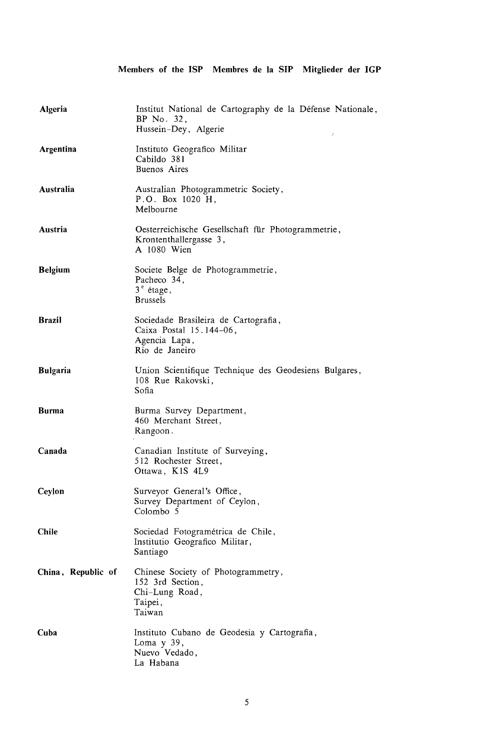## **Members of the ISP Membres de Ia SIP Mitglieder der IGP**

| Algeria            | Institut National de Cartography de la Défense Nationale,<br>BP No. 32,<br>Hussein-Dey, Algerie<br>t, |
|--------------------|-------------------------------------------------------------------------------------------------------|
| Argentina          | Instituto Geografico Militar<br>Cabildo 381<br>Buenos Aires                                           |
| Australia          | Australian Photogrammetric Society,<br>P.O. Box 1020 H,<br>Melbourne                                  |
| Austria            | Oesterreichische Gesellschaft für Photogrammetrie,<br>Krontenthallergasse 3,<br>A 1080 Wien           |
| <b>Belgium</b>     | Societe Belge de Photogrammetrie,<br>Pacheco 34,<br>$3^e$ étage,<br><b>Brussels</b>                   |
| <b>Brazil</b>      | Sociedade Brasileira de Cartografia,<br>Caixa Postal 15.144-06,<br>Agencia Lapa,<br>Rio de Janeiro    |
| <b>Bulgaria</b>    | Union Scientifique Technique des Geodesiens Bulgares,<br>108 Rue Rakovski,<br>Sofia                   |
| <b>Burma</b>       | Burma Survey Department,<br>460 Merchant Street,<br>Rangoon.                                          |
| Canada             | Canadian Institute of Surveying,<br>512 Rochester Street,<br>Ottawa, K1S 4L9                          |
| Ceylon             | Surveyor General's Office,<br>Survey Department of Ceylon,<br>Colombo 5                               |
| <b>Chile</b>       | Sociedad Fotogramétrica de Chile,<br>Institutio Geografico Militar,<br>Santiago                       |
| China, Republic of | Chinese Society of Photogrammetry,<br>152 3rd Section,<br>Chi-Lung Road,<br>Taipei,<br>Taiwan         |
| Cuba               | Instituto Cubano de Geodesia y Cartografia,<br>Loma y 39,<br>Nuevo Vedado,<br>La Habana               |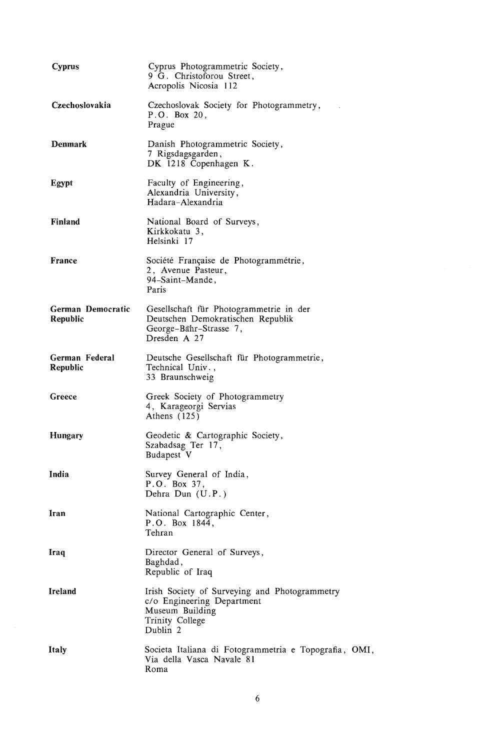| <b>Cyprus</b>                        | Cyprus Photogrammetric Society,<br>9 G. Christoforou Street,<br>Acropolis Nicosia 112                                         |
|--------------------------------------|-------------------------------------------------------------------------------------------------------------------------------|
| Czechoslovakia                       | Czechoslovak Society for Photogrammetry,<br>P.O. Box 20,<br>Prague                                                            |
| Denmark                              | Danish Photogrammetric Society,<br>7 Rigsdagsgarden,<br>DK 1218 Copenhagen K.                                                 |
| Egypt                                | Faculty of Engineering,<br>Alexandria University,<br>Hadara-Alexandria                                                        |
| Finland                              | National Board of Surveys,<br>Kirkkokatu 3,<br>Helsinki 17                                                                    |
| France                               | Société Française de Photogrammétrie,<br>2, Avenue Pasteur,<br>94–Saint–Mande,<br>Paris                                       |
| German Democratic<br><b>Republic</b> | Gesellschaft für Photogrammetrie in der<br>Deutschen Demokratischen Republik<br>George-Bahr-Strasse 7,<br>Dresden A 27        |
| German Federal<br>Republic           | Deutsche Gesellschaft für Photogrammetrie,<br>Technical Univ.,<br>33 Braunschweig                                             |
| Greece                               | Greek Society of Photogrammetry<br>4, Karageorgi Servias<br>Athens $(125)$                                                    |
| <b>Hungary</b>                       | Geodetic & Cartographic Society,<br>Szabadsag Ter 17,<br>Budapest V                                                           |
| India                                | Survey General of India,<br>P.O. Box 37,<br>Dehra Dun (U.P.)                                                                  |
| Iran                                 | National Cartographic Center,<br>P.O. Box 1844,<br>Tehran                                                                     |
| Iraq                                 | Director General of Surveys,<br>Baghdad,<br>Republic of Iraq                                                                  |
| <b>Ireland</b>                       | Irish Society of Surveying and Photogrammetry<br>c/o Engineering Department<br>Museum Building<br>Trinity College<br>Dublin 2 |
| Italy                                | Societa Italiana di Fotogrammetria e Topografia, OMI,<br>Via della Vasca Navale 81<br>Roma                                    |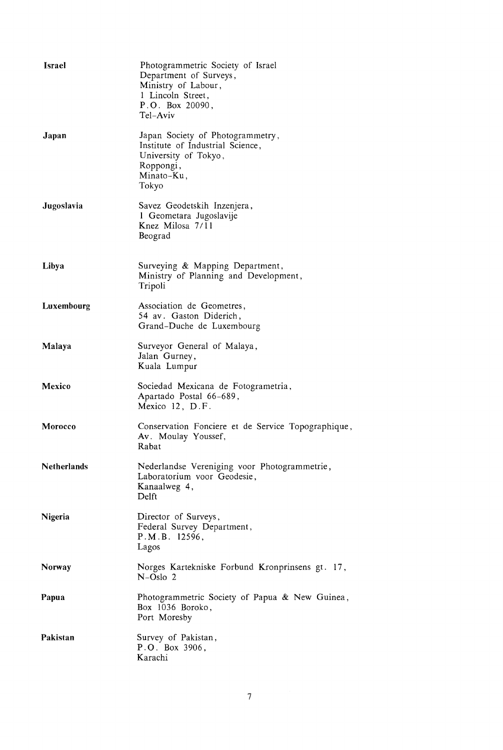| <b>Israel</b>      | Photogrammetric Society of Israel<br>Department of Surveys,<br>Ministry of Labour,<br>1 Lincoln Street,<br>P.O. Box 20090,<br>Tel-Aviv |
|--------------------|----------------------------------------------------------------------------------------------------------------------------------------|
| Japan              | Japan Society of Photogrammetry,<br>Institute of Industrial Science,<br>University of Tokyo,<br>Roppongi,<br>Minato-Ku,<br>Tokyo       |
| Jugoslavia         | Savez Geodetskih Inzenjera,<br>1 Geometara Jugoslavije<br>Knez Milosa 7/11<br>Beograd                                                  |
| Libya              | Surveying & Mapping Department,<br>Ministry of Planning and Development,<br>Tripoli                                                    |
| Luxembourg         | Association de Geometres,<br>54 av. Gaston Diderich,<br>Grand-Duche de Luxembourg                                                      |
| Malaya             | Surveyor General of Malaya,<br>Jalan Gurney,<br>Kuala Lumpur                                                                           |
| Mexico             | Sociedad Mexicana de Fotogrametria,<br>Apartado Postal 66-689,<br>Mexico 12, D.F.                                                      |
| <b>Morocco</b>     | Conservation Fonciere et de Service Topographique,<br>Av. Moulay Youssef,<br>Rabat                                                     |
| <b>Netherlands</b> | Nederlandse Vereniging voor Photogrammetrie,<br>Laboratorium voor Geodesie,<br>Kanaalweg 4,<br>Delft                                   |
| Nigeria            | Director of Surveys,<br>Federal Survey Department,<br>P.M.B. 12596,<br>Lagos                                                           |
| Norway             | Norges Kartekniske Forbund Kronprinsens gt. 17,<br>$N-Oslo2$                                                                           |
| Papua              | Photogrammetric Society of Papua & New Guinea,<br>Box 1036 Boroko,<br>Port Moresby                                                     |
| Pakistan           | Survey of Pakistan,<br>P.O. Box 3906,<br>Karachi                                                                                       |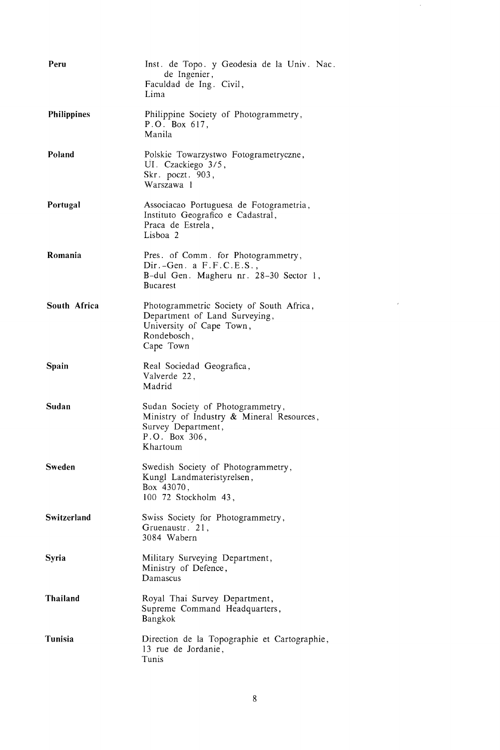| Peru               | Inst. de Topo. y Geodesia de la Univ. Nac.<br>de Ingenier,                                                                        |
|--------------------|-----------------------------------------------------------------------------------------------------------------------------------|
|                    | Faculdad de Ing. Civil,<br>Lima                                                                                                   |
| <b>Philippines</b> | Philippine Society of Photogrammetry,<br>P.O. Box 617,<br>Manila                                                                  |
| Poland             | Polskie Towarzystwo Fotogrametryczne,<br>UI. Czackiego 3/5,<br>Skr. poczt. 903,<br>Warszawa 1                                     |
| Portugal           | Associacao Portuguesa de Fotogrametria,<br>Instituto Geografico e Cadastral,<br>Praca de Estrela,<br>Lisboa <sub>2</sub>          |
| Romania            | Pres. of Comm. for Photogrammetry,<br>$Dir. -Gen.$ a $F.F.C.E.S.,$<br>B-dul Gen. Magheru nr. 28-30 Sector 1,<br><b>Bucarest</b>   |
| South Africa       | Photogrammetric Society of South Africa,<br>Department of Land Surveying,<br>University of Cape Town,<br>Rondebosch,<br>Cape Town |
| Spain              | Real Sociedad Geografica,<br>Valverde 22,<br>Madrid                                                                               |
| Sudan              | Sudan Society of Photogrammetry,<br>Ministry of Industry & Mineral Resources,<br>Survey Department,<br>P.O. Box 306,<br>Khartoum  |
| <b>Sweden</b>      | Swedish Society of Photogrammetry,<br>Kungl Landmateristyrelsen,<br>Box 43070,<br>100 72 Stockholm 43,                            |
| Switzerland        | Swiss Society for Photogrammetry,<br>Gruenaustr. 21,<br>3084 Wabern                                                               |
| Syria              | Military Surveying Department,<br>Ministry of Defence,<br>Damascus                                                                |
| Thailand           | Royal Thai Survey Department,<br>Supreme Command Headquarters,<br>Bangkok                                                         |
| Tunisia            | Direction de la Topographie et Cartographie,<br>13 rue de Jordanie,<br>Tunis                                                      |

 $\hat{\mathcal{E}}$ 

 $\mathcal{L}^{\text{max}}_{\text{max}}$